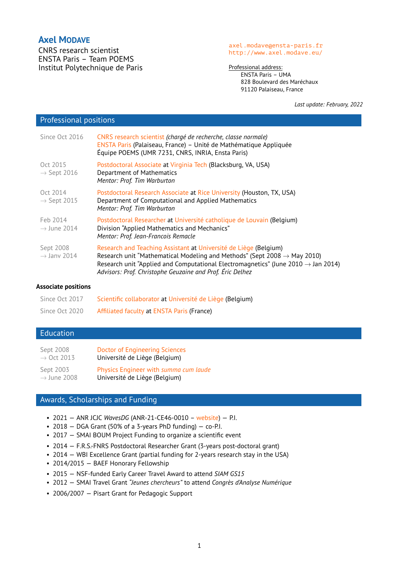# **Axel MODAVE**

CNRS research scientist ENSTA Paris – Team POEMS Institut Polytechnique de Paris

#### <axel.modave@ensta-paris.fr> <http://www.axel.modave.eu/>

Professional address: ENSTA Paris – UMA 828 Boulevard des Maréchaux 91120 Palaiseau, France

*Last update: February, 2022*

## Professional positions

| Since Oct 2016                       | CNRS research scientist (chargé de recherche, classe normale)<br>ENSTA Paris (Palaiseau, France) - Unité de Mathématique Appliquée<br>Équipe POEMS (UMR 7231, CNRS, INRIA, Ensta Paris)                                                                                                                                |
|--------------------------------------|------------------------------------------------------------------------------------------------------------------------------------------------------------------------------------------------------------------------------------------------------------------------------------------------------------------------|
| Oct 2015<br>$\rightarrow$ Sept 2016  | Postdoctoral Associate at Virginia Tech (Blacksburg, VA, USA)<br>Department of Mathematics<br>Mentor: Prof. Tim Warburton                                                                                                                                                                                              |
| Oct 2014<br>$\rightarrow$ Sept 2015  | Postdoctoral Research Associate at Rice University (Houston, TX, USA)<br>Department of Computational and Applied Mathematics<br>Mentor: Prof. Tim Warburton                                                                                                                                                            |
| Feb 2014<br>$\rightarrow$ June 2014  | Postdoctoral Researcher at Université catholique de Louvain (Belgium)<br>Division "Applied Mathematics and Mechanics"<br>Mentor: Prof. Jean-Francois Remacle                                                                                                                                                           |
| Sept 2008<br>$\rightarrow$ Jany 2014 | Research and Teaching Assistant at Université de Liège (Belgium)<br>Research unit "Mathematical Modeling and Methods" (Sept 2008 $\rightarrow$ May 2010)<br>Research unit "Applied and Computational Electromagnetics" (June 2010 $\rightarrow$ Jan 2014)<br>Advisors: Prof. Christophe Geuzaine and Prof. Éric Delhez |

#### **Associate positions**

| Since Oct 2017 | Scientific collaborator at Université de Liège (Belgium) |
|----------------|----------------------------------------------------------|
| Since Oct 2020 | Affiliated faculty at ENSTA Paris (France)               |

# Education

| Sept 2008               | <b>Doctor of Engineering Sciences</b> |
|-------------------------|---------------------------------------|
| $\rightarrow$ Oct 2013  | Université de Liège (Belgium)         |
| Sept 2003               | Physics Engineer with summa cum laude |
| $\rightarrow$ June 2008 | Université de Liège (Belgium)         |

# Awards, Scholarships and Funding

- 2021 ANR JCJC *WavesDG* (ANR-21-CE46-0010 [website\)](https://wavesdg.pages.math.cnrs.fr/) P.I.
- 2018 DGA Grant (50% of a 3-years PhD funding) co-P.I.
- 2017 SMAI BOUM Project Funding to organize a scientific event
- 2014 F.R.S.-FNRS Postdoctoral Researcher Grant (3-years post-doctoral grant)
- 2014 WBI Excellence Grant (partial funding for 2-years research stay in the USA)
- 2014/2015 BAEF Honorary Fellowship
- 2015 NSF-funded Early Career Travel Award to attend *SIAM GS15*
- 2012 SMAI Travel Grant *"Jeunes chercheurs"* to attend *Congrès d'Analyse Numérique*
- 2006/2007 Pisart Grant for Pedagogic Support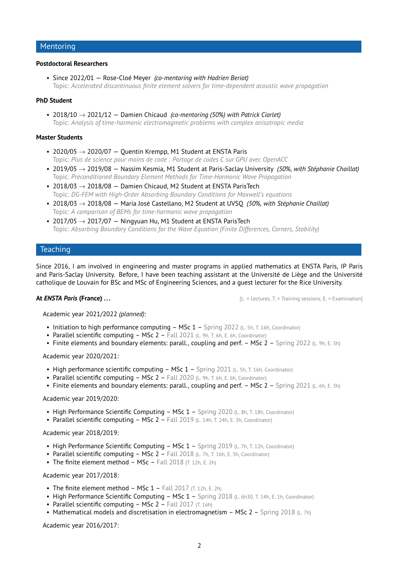## Mentoring

## **Postdoctoral Researchers**

• Since 2022/01 — Rose-Cloé Meyer *(co-mentoring with Hadrien Beriot)* Topic: *Accelerated discontinuous finite element solvers for time-dependent acoustic wave propagation*

### **PhD Student**

• 2018/10 → 2021/12 — Damien Chicaud *(co-mentoring (50%) with Patrick Ciarlet)* Topic: *Analysis of time-harmonic electromagmetic problems with complex anisotropic media*

### **Master Students**

- 2020/05  $\rightarrow$  2020/07 Quentin Krempp, M1 Student at ENSTA Paris Topic: *Plus de science pour moins de code : Portage de codes C sur GPU avec OpenACC*
- 2019/05 → 2019/08 Nassim Kesmia, M1 Student at Paris-Saclay University *(50%, with Stéphanie Chaillat)* Topic: *Preconditioned Boundary Element Methods for Time-Harmonic Wave Propagation*
- 2018/03  $\rightarrow$  2018/08 Damien Chicaud, M2 Student at ENSTA ParisTech Topic: *DG-FEM with High-Order Absorbing Boundary Conditions for Maxwell's equations*
- 2018/03 → 2018/08 María José Castellano, M2 Student at UVSQ *(50%, with Stéphanie Chaillat)* Topic: *A comparison of BEMs for time-harmonic wave propagation*
- 2017/05  $\rightarrow$  2017/07 Ningyuan Hu, M1 Student at ENSTA ParisTech Topic: *Absorbing Boundary Conditions for the Wave Equation (Finite Differences, Corners, Stability)*

## **Teaching**

Since 2016, I am involved in engineering and master programs in applied mathematics at ENSTA Paris, IP Paris and Paris-Saclay University. Before, I have been teaching assistant at the Université de Liège and the Université catholique de Louvain for BSc and MSc of Engineering Sciences, and a guest lecturer for the Rice University.

**At** *ENSTA Paris* **(France) . . .** [L. = Lectures, T. = Training sessions, E. = Examination]

Academic year 2021/2022 *(planned)*:

- Initiation to high performance computing MSc  $1$  Spring 2022 (L. 5h, T. 16h, Coordinator)
- Parallel scientific computing MSc 2 Fall 2021 (L. 9h, T. 6h, E. 6h, Coordinator)
- Finite elements and boundary elements: parall., coupling and perf.  $-$  MSc 2  $-$  Spring 2022 (L. 9h, E. 3h)

### Academic year 2020/2021:

- High performance scientific computing MSc 1 Spring 2021 (L. 5h, T. 16h, Coordinator)
- Parallel scientific computing MSc 2 Fall 2020 (L. 9h, T. 6h, E. 6h, Coordinator)
- Finite elements and boundary elements: parall., coupling and perf. MSc 2 Spring 2021 (L. 6h, E. 3h)

## Academic year 2019/2020:

- High Performance Scientific Computing MSc 1 Spring 2020 (L. 8h, T. 18h, Coordinator)
- Parallel scientific computing  $-$  MSc 2  $-$  Fall 2019 (L. 14h, T. 24h, E. 3h, Coordinator)

#### Academic year 2018/2019:

- High Performance Scientific Computing MSc 1 Spring 2019 (L. 7h, T. 12h, Coordinator)
- Parallel scientific computing MSc 2 Fall 2018 (L. 7h, T. 16h, E. 3h, Coordinator)
- The finite element method MSc Fall 2018  $(T. 12h, E. 2h)$

#### Academic year 2017/2018:

- The finite element method MSc  $1$  Fall 2017  $(T. 12h, E. 2h)$
- High Performance Scientific Computing MSc 1 Spring 2018 (L. 6h30, T. 14h, E. 1h, Coordinator)
- Parallel scientific computing MSc  $2$  Fall 2017 (T. 16h)
- Mathematical models and discretisation in electromagnetism MSc 2 Spring 2018 (L. 7h)

Academic year 2016/2017: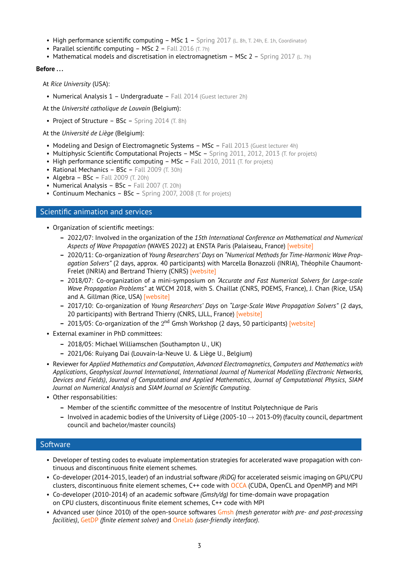- High performance scientific computing MSc 1 Spring 2017 (L. 8h, T. 24h, E. 1h, Coordinator)
- Parallel scientific computing  $-$  MSc 2 Fall 2016  $(T, 7h)$
- Mathematical models and discretisation in electromagnetism MSc 2 Spring 2017 (L. 7h)

## **Before . . .**

At *Rice University* (USA):

• Numerical Analysis 1 – Undergraduate – Fall 2014 (Guest lecturer 2h)

At the *Université catholique de Louvain* (Belgium):

• Project of Structure – BSc – Spring 2014 (T. 8h)

At the *Université de Liège* (Belgium):

- Modeling and Design of Electromagnetic Systems MSc Fall 2013 (Guest lecturer 4h)
- Multiphysic Scientific Computational Projects MSc Spring 2011, 2012, 2013 (T. for projets)
- High performance scientific computing  $-$  MSc  $-$  Fall 2010, 2011 (T. for projets)
- Rational Mechanics BSc Fall 2009 (T. 30h)
- Algebra  $BSc$  Fall 2009 (T. 20h)
- Numerical Analysis BSc Fall 2007 (T. 20h)
- Continuum Mechanics BSc Spring 2007, 2008 (T. for projets)

## Scientific animation and services

• Organization of scientific meetings:

- **–** 2022/07: Involved in the organization of the *15th International Conference on Mathematical and Numerical Aspects of Wave Propagation* (WAVES 2022) at ENSTA Paris (Palaiseau, France) [\[website\]](http://www.waves2022.fr/)
- **–** 2020/11: Co-organization of *Young Researchers' Days* on *"Numerical Methods for Time-Harmonic Wave Propagation Solvers"* (2 days, approx. 40 participants) with Marcella Bonazzoli (INRIA), Théophile Chaumont-Frelet (INRIA) and Bertrand Thierry (CNRS) [\[website\]](https://jcjc_ondes.pages.math.cnrs.fr/)
- **–** 2018/07: Co-organization of a mini-symposium on *"Accurate and Fast Numerical Solvers for Large-scale Wave Propagation Problems"* at WCCM 2018, with S. Chaillat (CNRS, POEMS, France), J. Chan (Rice, USA) and A. Gillman (Rice, USA) [\[website\]](http://www.wccm2018.org/MS_813)
- **–** 2017/10: Co-organization of *Young Researchers' Days* on *"Large-Scale Wave Propagation Solvers"* (2 days, 20 participants) with Bertrand Thierry (CNRS, LJLL, France) [\[website\]](https://jcjc_ondes.pages.math.cnrs.fr/2017/)
- 2013/05: Co-organization of the 2<sup>nd</sup> Gmsh Workshop (2 days, 50 participants) [\[website\]](https://gitlab.onelab.info/gmsh/gmsh/-/wikis/Second-Gmsh-Workshop)
- External examiner in PhD committees:
	- **–** 2018/05: Michael Williamschen (Southampton U., UK)
	- **–** 2021/06: Ruiyang Dai (Louvain-la-Neuve U. & Liège U., Belgium)
- Reviewer for *Applied Mathematics and Computation*, *Advanced Electromagnetics*, *Computers and Mathematics with Applications*, *Geophysical Journal International*, *International Journal of Numerical Modelling (Electronic Networks, Devices and Fields)*, *Journal of Computational and Applied Mathematics*, *Journal of Computational Physics*, *SIAM Journal on Numerical Analysis* and *SIAM Journal on Scientific Computing*.
- Other responsabilities:
	- **–** Member of the scientific committee of the mesocentre of Institut Polytechnique de Paris
	- **–** Involved in academic bodies of the University of Liège (2005-10 → 2013-09) (faculty council, department council and bachelor/master councils)

## **Software**

- Developer of testing codes to evaluate implementation strategies for accelerated wave propagation with continuous and discontinuous finite element schemes.
- Co-developer (2014-2015, leader) of an industrial software *(RiDG)* for accelerated seismic imaging on GPU/CPU clusters, discontinuous finite element schemes, C++ code with [OCCA](https://libocca.org/) (CUDA, OpenCL and OpenMP) and MPI
- Co-developer (2010-2014) of an academic software *(Gmsh/dg)* for time-domain wave propagation on CPU clusters, discontinuous finite element schemes, C++ code with MPI
- Advanced user (since 2010) of the open-source softwares [Gmsh](http://gmsh.info/) *(mesh generator with pre- and post-processing facilities)*, [GetDP](http://getdp.info/) *(finite element solver)* and [Onelab](http://onelab.info/) *(user-friendly interface)*.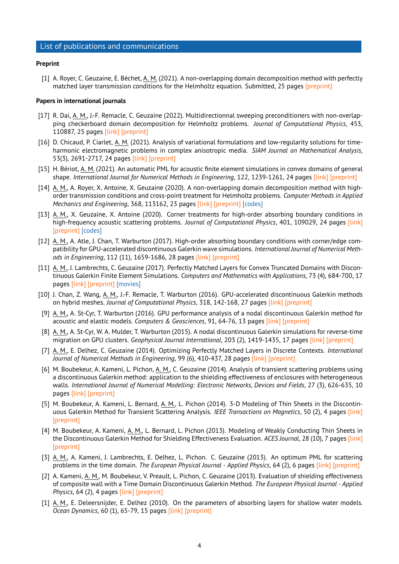## List of publications and communications

#### **Preprint**

[1] A. Royer, C. Geuzaine, E. Béchet, A. M. (2021). A non-overlapping domain decomposition method with perfectly matched layer transmission conditions for the Helmholtz equation. Submitted, 25 pages [\[preprint\]](https://hal.archives-ouvertes.fr/hal-03416187)

#### **Papers in international journals**

- [17] R. Dai, A. M., J.-F. Remacle, C. Geuzaine (2022). Multidirectionnal sweeping preconditioners with non-overlapping checkerboard domain decomposition for Helmholtz problems. *Journal of Computational Physics*, 453, 110887, 25 pages [\[link\]](https://doi.org/10.1016/j.jcp.2021.110887) [\[preprint\]](https://hal.archives-ouvertes.fr/hal-03240042)
- [16] D. Chicaud, P. Ciarlet, A. M. (2021). Analysis of variational formulations and low-regularity solutions for timeharmonic electromagnetic problems in complex anisotropic media. *SIAM Journal on Mathematical Analysis*, 53(3), 2691-2717, 24 pages [\[link\]](https://epubs.siam.org/doi/10.1137/20M1344111) [\[preprint\]](https://hal.archives-ouvertes.fr/hal-02651682)
- [15] H. Bériot, A. M. (2021). An automatic PML for acoustic finite element simulations in convex domains of general shape. *International Journal for Numerical Methods in Engineering*, 122, 1239-1261, 24 pages [\[link\]](https://doi.org/10.1002/nme.6560) [\[preprint\]](https://hal.archives-ouvertes.fr/hal-02738261)
- [14] A. M., A. Royer, X. Antoine, X. Geuzaine (2020). A non-overlapping domain decomposition method with highorder transmission conditions and cross-point treatment for Helmholtz problems. *Computer Methods in Applied Mechanics and Engineering*, 368, 113162, 23 pages [\[link\]](https://doi.org/10.1016/j.cma.2020.113162) [\[preprint\]](https://hal.archives-ouvertes.fr/hal-02432422) [\[codes\]](https://gitlab.onelab.info/doc/models/-/tree/master/HelmholtzDDMwithCrosspoints)
- [13] A. M., X. Geuzaine, X. Antoine (2020). Corner treatments for high-order absorbing boundary conditions in high-frequency acoustic scattering problems. *Journal of Computational Physics*, 401, 109029, 24 pages [\[link\]](https://doi.org/10.1016/j.jcp.2019.109029) [\[preprint\]](https://hal.archives-ouvertes.fr/hal-01925160) [\[codes\]](https://gitlab.onelab.info/doc/models/-/tree/master/HelmholtzHABCwithCorners)
- [12] A. M., A. Atle, J. Chan, T. Warburton (2017). High-order absorbing boundary conditions with corner/edge compatibility for GPU-accelerated discontinuous Galerkin wave simulations. *International Journal of Numerical Methods in Engineering*, 112 (11), 1659-1686, 28 pages [\[link\]](http://dx.doi.org/10.1002/nme.5576) [\[preprint\]](https://arxiv.org/abs/1610.05023)
- [11] A. M., J. Lambrechts, C. Geuzaine (2017). Perfectly Matched Layers for Convex Truncated Domains with Discontinuous Galerkin Finite Element Simulations. *Computers and Mathematics with Applications*, 73 (4), 684-700, 17 pages [\[link\]](http://dx.doi.org/10.1016/j.camwa.2016.12.027) [\[preprint\]](https://hal.archives-ouvertes.fr/hal-01378501) [\[movies\]](https://www.youtube.com/channel/UCr0OaDCs8k2aRPcqmagfaaQ)
- [10] J. Chan, Z. Wang, A. M., J.-F. Remacle, T. Warburton (2016). GPU-accelerated discontinuous Galerkin methods on hybrid meshes. *Journal of Computational Physics*, 318, 142-168, 27 pages [\[link\]](http://dx.doi.org/10.1016/j.jcp.2016.04.003) [\[preprint\]](http://arxiv.org/abs/1507.02557)
- [9] A. M., A. St-Cyr, T. Warburton (2016). GPU performance analysis of a nodal discontinuous Galerkin method for acoustic and elastic models. *Computers & Geosciences*, 91, 64-76, 13 pages [\[link\]](http://dx.doi.org/10.1016/j.cageo.2016.03.008) [\[preprint\]](http://arxiv.org/abs/1602.07997)
- [8] A. M., A. St-Cyr, W. A. Mulder, T. Warburton (2015). A nodal discontinuous Galerkin simulations for reverse-time migration on GPU clusters. *Geophysical Journal International*, 203 (2), 1419-1435, 17 pages [\[link\]](https://doi.org/10.1093/gji/ggv380) [\[preprint\]](http://arxiv.org/abs/1506.00907)
- [7] A. M., E. Delhez, C. Geuzaine (2014). Optimizing Perfectly Matched Layers in Discrete Contexts. *International Journal of Numerical Methods in Engineering*, 99 (6), 410-437, 28 pages [\[link\]](http://onlinelibrary.wiley.com/doi/10.1002/nme.4690/abstract) [\[preprint\]](http://hdl.handle.net/2268/165708)
- [6] M. Boubekeur, A. Kameni, L. Pichon, A. M., C. Geuzaine (2014). Analysis of transient scattering problems using a discontinuous Galerkin method: application to the shielding effectiveness of enclosures with heterogeneous walls. *International Journal of Numerical Modelling: Electronic Networks, Devices and Fields*, 27 (3), 626-635, 10 pages [\[link\]](http://onlinelibrary.wiley.com/doi/10.1002/jnm.1968/abstract) [\[preprint\]](http://hdl.handle.net/2268/157222)
- [5] M. Boubekeur, A. Kameni, L. Bernard, A. M., L. Pichon (2014). 3-D Modeling of Thin Sheets in the Discontinuous Galerkin Method for Transient Scattering Analysis. *IEEE Transactions on Magnetics*, 50 (2), 4 pages [\[link\]](http://ieeexplore.ieee.org/xpl/articleDetails.jsp?arnumber=6749105) [\[preprint\]](http://orbi.ulg.ac.be/handle/2268/157226)
- [4] M. Boubekeur, A. Kameni, A. M., L. Bernard, L. Pichon (2013). Modeling of Weakly Conducting Thin Sheets in the Discontinuous Galerkin Method for Shielding Effectiveness Evaluation. *ACES Journal*, 28 (10), 7 pages [\[link\]](http://www.aces-society.org/search.php?q=++Boubekeur+Kameni+Modave&search=Search) [\[preprint\]](http://orbi.ulg.ac.be/handle/2268/157225)
- [3] A. M., A. Kameni, J. Lambrechts, E. Delhez, L. Pichon. C. Geuzaine (2013). An optimum PML for scattering problems in the time domain. *The European Physical Journal - Applied Physics*, 64 (2), 6 pages [\[link\]](http://dx.doi.org/10.1051/epjap/2013120447) [\[preprint\]](http://orbi.ulg.ac.be/handle/2268/149904)
- [2] A. Kameni, A. M., M. Boubekeur, V. Preault, L. Pichon, C. Geuzaine (2013). Evaluation of shielding effectiveness of composite wall with a Time Domain Discontinuous Galerkin Method. *The European Physical Journal - Applied Physics*, 64 (2), 4 pages [\[link\]](http://dx.doi.org/10.1051/epjap/2013120438) [\[preprint\]](http://orbi.ulg.ac.be/handle/2268/154299)
- [1] A. M., E. Deleersnijder, E. Delhez (2010). On the parameters of absorbing layers for shallow water models. *Ocean Dynamics*, 60 (1), 65-79, 15 pages [\[link\]](https://doi.org/10.1007/s10236-009-0243-0) [\[preprint\]](http://orbi.ulg.ac.be/handle/2268/28698)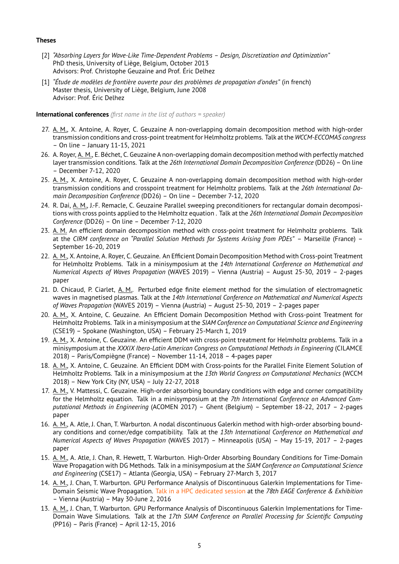## **Theses**

- [2] *"Absorbing Layers for Wave-Like Time-Dependent Problems Design, Discretization and Optimization"* PhD thesis, University of Liège, Belgium, October 2013 Advisors: Prof. Christophe Geuzaine and Prof. Éric Delhez
- [1] *"Étude de modèles de frontière ouverte pour des problèmes de propagation d'ondes"* (in french) Master thesis, University of Liège, Belgium, June 2008 Advisor: Prof. Éric Delhez

## **International conferences** *(first name in the list of authors = speaker)*

- 27. A. M., X. Antoine, A. Royer, C. Geuzaine A non-overlapping domain decomposition method with high-order transmission conditions and cross-point treatment for Helmholtz problems. Talk at the *WCCM-ECCOMAS congress* – On line – January 11-15, 2021
- 26. A. Royer, A. M., E. Béchet, C. Geuzaine A non-overlapping domain decomposition method with perfectly matched layer transmission conditions. Talk at the *26th International Domain Decomposition Conference* (DD26) – On line – December 7-12, 2020
- 25. A. M., X. Antoine, A. Royer, C. Geuzaine A non-overlapping domain decomposition method with high-order transmission conditions and crosspoint treatment for Helmholtz problems. Talk at the *26th International Domain Decomposition Conference* (DD26) – On line – December 7-12, 2020
- 24. R. Dai, A. M., J.-F. Remacle, C. Geuzaine Parallel sweeping preconditioners for rectangular domain decompositions with cross points applied to the Helmholtz equation . Talk at the *26th International Domain Decomposition Conference* (DD26) – On line – December 7-12, 2020
- 23. A. M. An efficient domain decomposition method with cross-point treatment for Helmholtz problems. Talk at the *CIRM conference on "Parallel Solution Methods for Systems Arising from PDEs"* – Marseille (France) – September 16-20, 2019
- 22. A. M., X. Antoine, A. Royer, C. Geuzaine. An Efficient Domain Decomposition Method with Cross-point Treatment for Helmholtz Problems. Talk in a minisymposium at the *14th International Conference on Mathematical and Numerical Aspects of Waves Propagation* (WAVES 2019) – Vienna (Austria) – August 25-30, 2019 – 2-pages paper
- 21. D. Chicaud, P. Ciarlet, A. M.. Perturbed edge finite element method for the simulation of electromagnetic waves in magnetised plasmas. Talk at the *14th International Conference on Mathematical and Numerical Aspects of Waves Propagation* (WAVES 2019) – Vienna (Austria) – August 25-30, 2019 – 2-pages paper
- 20. A. M., X. Antoine, C. Geuzaine. An Efficient Domain Decomposition Method with Cross-point Treatment for Helmholtz Problems. Talk in a minisymposium at the *SIAM Conference on Computational Science and Engineering* (CSE19) – Spokane (Washington, USA) – February 25-March 1, 2019
- 19. A. M., X. Antoine, C. Geuzaine. An efficient DDM with cross-point treatment for Helmholtz problems. Talk in a minisymposium at the *XXXIX Ibero-Latin American Congress on Computational Methods in Engineering* (CILAMCE 2018) – Paris/Compiègne (France) – November 11-14, 2018 – 4-pages paper
- 18. A. M., X. Antoine, C. Geuzaine. An Efficient DDM with Cross-points for the Parallel Finite Element Solution of Helmholtz Problems. Talk in a minisymposium at the *13th World Congress on Computational Mechanics* (WCCM 2018) – New York City (NY, USA) – July 22-27, 2018
- 17. A. M., V. Mattessi, C. Geuzaine. High-order absorbing boundary conditions with edge and corner compatibility for the Helmholtz equation. Talk in a minisymposium at the *7th International Conference on Advanced Computational Methods in Engineering* (ACOMEN 2017) – Ghent (Belgium) – September 18-22, 2017 – 2-pages paper
- 16. A. M., A. Atle, J. Chan, T. Warburton. A nodal discontinuous Galerkin method with high-order absorbing boundary conditions and corner/edge compatibility. Talk at the *13th International Conference on Mathematical and Numerical Aspects of Waves Propagation* (WAVES 2017) – Minneapolis (USA) – May 15-19, 2017 – 2-pages paper
- 15. A. M., A. Atle, J. Chan, R. Hewett, T. Warburton. High-Order Absorbing Boundary Conditions for Time-Domain Wave Propagation with DG Methods. Talk in a minisymposium at the *SIAM Conference on Computational Science and Engineering* (CSE17) – Atlanta (Georgia, USA) – February 27-March 3, 2017
- 14. A. M., J. Chan, T. Warburton. GPU Performance Analysis of Discontinuous Galerkin Implementations for Time-Domain Seismic Wave Propagation. Talk in a HPC dedicated session at the *78th EAGE Conference & Exhibition* – Vienna (Austria) – May 30-June 2, 2016
- 13. A. M., J. Chan, T. Warburton. GPU Performance Analysis of Discontinuous Galerkin Implementations for Time-Domain Wave Simulations. Talk at the *17th SIAM Conference on Parallel Processing for Scientific Computing* (PP16) – Paris (France) – April 12-15, 2016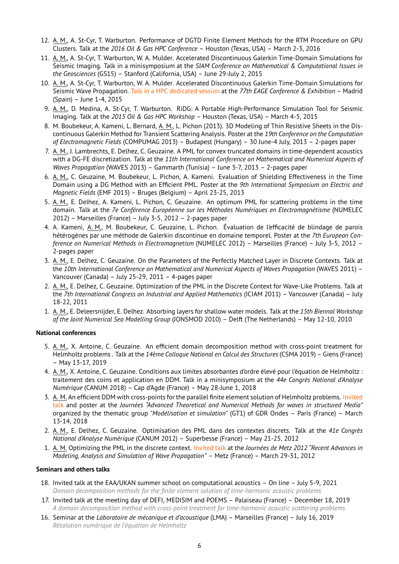- 12. A. M., A. St-Cyr, T. Warburton. Performance of DGTD Finite Element Methods for the RTM Procedure on GPU Clusters. Talk at the *2016 Oil & Gas HPC Conference* – Houston (Texas, USA) – March 2-3, 2016
- 11. A. M., A. St-Cyr, T. Warburton, W. A. Mulder. Accelerated Discontinuous Galerkin Time-Domain Simulations for Seismic Imaging. Talk in a minisymposium at the *SIAM Conference on Mathematical & Computational Issues in the Geosciences* (GS15) – Stanford (California, USA) – June 29-July 2, 2015
- 10. A. M., A. St-Cyr, T. Warburton, W. A. Mulder. Accelerated Discontinuous Galerkin Time-Domain Simulations for Seismic Wave Propagation. Talk in a HPC dedicated session at the *77th EAGE Conference & Exhibition* – Madrid (Spain) – June 1-4, 2015
- 9. A. M., D. Medina, A. St-Cyr, T. Warburton. RiDG: A Portable High-Performance Simulation Tool for Seismic Imaging. Talk at the *2015 Oil & Gas HPC Workshop* – Houston (Texas, USA) – March 4-5, 2015
- 8. M. Boubekeur, A. Kameni, L. Bernard, A. M., L. Pichon (2013). 3D Modeling of Thin Resistive Sheets in the Discontinuous Galerkin Method for Transient Scattering Analysis. Poster at the *19th Conference on the Computation of Electromagnetic Fields* (COMPUMAG 2013) – Budapest (Hungary) – 30 June-4 July, 2013 – 2-pages paper
- 7. A. M., J. Lambrechts, E. Delhez, C. Geuzaine. A PML for convex truncated domains in time-dependent acoustics with a DG-FE discretization. Talk at the *11th International Conference on Mathematical and Numerical Aspects of Waves Propagation* (WAVES 2013) – Gammarth (Tunisia) – June 3-7, 2013 – 2-pages paper
- 6. A. M., C. Geuzaine, M. Boubekeur, L. Pichon, A. Kameni. Evaluation of Shielding Effectiveness in the Time Domain using a DG Method with an Efficient PML. Poster at the *9th International Symposium on Electric and Magnetic Fields* (EMF 2013) – Bruges (Belgium) – April 23-25, 2013
- 5. A. M., E. Delhez, A. Kameni, L. Pichon, C. Geuzaine. An optimum PML for scattering problems in the time domain. Talk at the *7e Conférence Européenne sur les Méthodes Numériques en Electromagnétisme* (NUMELEC 2012) – Marseilles (France) – July 3-5, 2012 – 2-pages paper
- 4. A. Kameni, A. M., M. Boubekeur, C. Geuzaine, L. Pichon. Évaluation de l'efficacité de blindage de parois hétérogènes par une méthode de Galerkin discontinue en domaine temporel. Poster at the *7th European Conference on Numerical Methods in Electromagnetism* (NUMELEC 2012) – Marseilles (France) – July 3-5, 2012 – 2-pages paper
- 3. A. M., E. Delhez, C. Geuzaine. On the Parameters of the Perfectly Matched Layer in Discrete Contexts. Talk at the *10th International Conference on Mathematical and Numerical Aspects of Waves Propagation* (WAVES 2011) – Vancouver (Canada) – July 25-29, 2011 – 4-pages paper
- 2. A. M., E. Delhez, C. Geuzaine. Optimization of the PML in the Discrete Context for Wave-Like Problems. Talk at the *7th International Congress on Industrial and Applied Mathematics* (ICIAM 2011) – Vancouver (Canada) – July 18-22, 2011
- 1. A. M., E. Deleersnijder, E. Delhez. Absorbing layers for shallow water models. Talk at the *15th Biennal Workshop of the Joint Numerical Sea Modelling Group* (JONSMOD 2010) – Delft (The Netherlands) – May 12-10, 2010

## **National conferences**

- 5. A. M., X. Antoine, C. Geuzaine. An efficient domain decomposition method with cross-point treatment for Helmholtz problems . Talk at the *14ème Colloque National en Calcul des Structures* (CSMA 2019) – Giens (France) – May 13-17, 2019
- 4. A. M., X. Antoine, C. Geuzaine. Conditions aux limites absorbantes d'ordre élevé pour l'équation de Helmholtz : traitement des coins et application en DDM. Talk in a minisymposium at the *44e Congrès National d'Analyse Numérique* (CANUM 2018) – Cap d'Agde (France) – May 28-June 1, 2018
- 3. A. M. An efficient DDM with cross-points for the parallel finite element solution of Helmholtz problems. Invited talk and poster at the *Journées "Advanced Theoretical and Numerical Methods for waves in structured Media"* organized by the thematic group *"Modélisation et simulation"* (GT1) of GDR Ondes – Paris (France) – March 13-14, 2018
- 2. A. M., E. Delhez, C. Geuzaine. Optimisation des PML dans des contextes discrets. Talk at the *41e Congrès National d'Analyse Numérique* (CANUM 2012) – Superbesse (France) – May 21-25, 2012
- 1. A. M. Optimizing the PML in the discrete context. Invited talk at the *Journées de Metz 2012 "Recent Advances in Modeling, Analysis and Simulation of Wave Propagation"* – Metz (France) – March 29-31, 2012

## **Seminars and others talks**

- 18. Invited talk at the EAA/UKAN summer school on computational acoustics On line July 5-9, 2021 *Domain decomposition methods for the finite element solution of time-harmonic acoustic problems*
- 17. Invited talk at the meeting day of DEFI, MEDISIM and POEMS Palaiseau (France) December 18, 2019 *A domain decomposition method with cross-point treatment for time-harmonic acoustic scattering problems*
- 16. Seminar at the *Laboratoire de mécanique et d'acoustique* (LMA) Marseilles (France) July 16, 2019 *Résolution numérique de l'équation de Helmholtz*